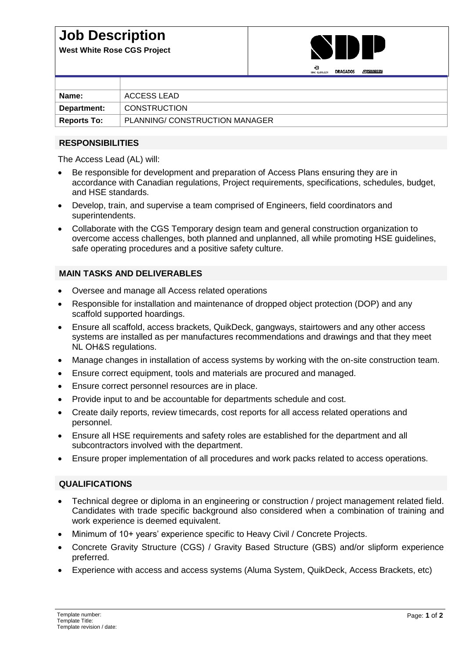# **Job Description**

**West White Rose CGS Project**



| Name:              | ACCESS LEAD                    |
|--------------------|--------------------------------|
| Department:        | <b>CONSTRUCTION</b>            |
| <b>Reports To:</b> | PLANNING/ CONSTRUCTION MANAGER |

### **RESPONSIBILITIES**

The Access Lead (AL) will:

- Be responsible for development and preparation of Access Plans ensuring they are in accordance with Canadian regulations, Project requirements, specifications, schedules, budget, and HSE standards.
- Develop, train, and supervise a team comprised of Engineers, field coordinators and superintendents.
- Collaborate with the CGS Temporary design team and general construction organization to overcome access challenges, both planned and unplanned, all while promoting HSE guidelines, safe operating procedures and a positive safety culture.

#### **MAIN TASKS AND DELIVERABLES**

- Oversee and manage all Access related operations
- Responsible for installation and maintenance of dropped object protection (DOP) and any scaffold supported hoardings.
- Ensure all scaffold, access brackets, QuikDeck, gangways, stairtowers and any other access systems are installed as per manufactures recommendations and drawings and that they meet NL OH&S regulations.
- Manage changes in installation of access systems by working with the on-site construction team.
- Ensure correct equipment, tools and materials are procured and managed.
- Ensure correct personnel resources are in place.
- Provide input to and be accountable for departments schedule and cost.
- Create daily reports, review timecards, cost reports for all access related operations and personnel.
- Ensure all HSE requirements and safety roles are established for the department and all subcontractors involved with the department.
- Ensure proper implementation of all procedures and work packs related to access operations.

## **QUALIFICATIONS**

- Technical degree or diploma in an engineering or construction / project management related field. Candidates with trade specific background also considered when a combination of training and work experience is deemed equivalent.
- Minimum of 10+ years' experience specific to Heavy Civil / Concrete Projects.
- Concrete Gravity Structure (CGS) / Gravity Based Structure (GBS) and/or slipform experience preferred.
- Experience with access and access systems (Aluma System, QuikDeck, Access Brackets, etc)